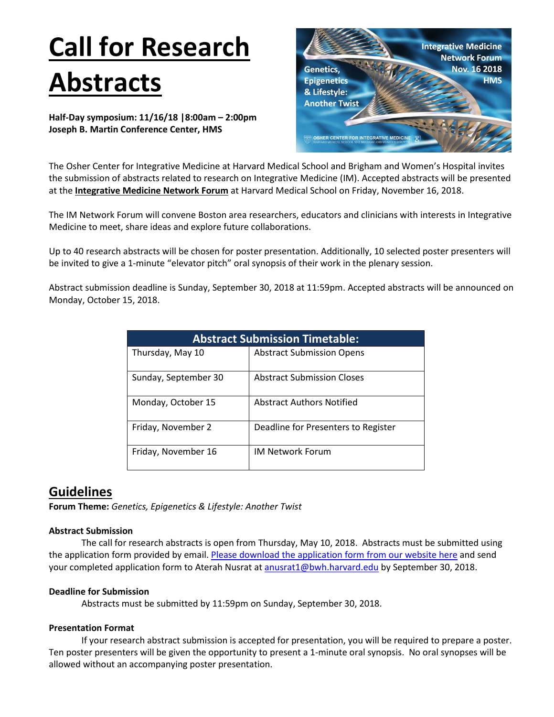# **Call for Research Abstracts**

**Half-Day symposium: 11/16/18 |8:00am – 2:00pm Joseph B. Martin Conference Center, HMS**



The Osher Center for Integrative Medicine at Harvard Medical School and Brigham and Women's Hospital invites the submission of abstracts related to research on Integrative Medicine (IM). Accepted abstracts will be presented at the **Integrative Medicine Network Forum** at Harvard Medical School on Friday, November 16, 2018.

The IM Network Forum will convene Boston area researchers, educators and clinicians with interests in Integrative Medicine to meet, share ideas and explore future collaborations.

Up to 40 research abstracts will be chosen for poster presentation. Additionally, 10 selected poster presenters will be invited to give a 1-minute "elevator pitch" oral synopsis of their work in the plenary session.

Abstract submission deadline is Sunday, September 30, 2018 at 11:59pm. Accepted abstracts will be announced on Monday, October 15, 2018.

| <b>Abstract Submission Timetable:</b> |                                     |
|---------------------------------------|-------------------------------------|
| Thursday, May 10                      | <b>Abstract Submission Opens</b>    |
| Sunday, September 30                  | <b>Abstract Submission Closes</b>   |
| Monday, October 15                    | <b>Abstract Authors Notified</b>    |
| Friday, November 2                    | Deadline for Presenters to Register |
| Friday, November 16                   | <b>IM Network Forum</b>             |

# **Guidelines**

**Forum Theme:** *Genetics, Epigenetics & Lifestyle: Another Twist*

### **Abstract Submission**

The call for research abstracts is open from Thursday, May 10, 2018. Abstracts must be submitted using the application form provided by email. Please [download the application form](https://oshercenter.org/2018/05/10/call-for-research-abstracts-im-network-forum-2018-guidelines/) from our website here and send your completed application form to Aterah Nusrat a[t anusrat1@bwh.harvard.edu](mailto:anusrat1@bwh.harvard.edu) by September 30, 2018.

#### **Deadline for Submission**

Abstracts must be submitted by 11:59pm on Sunday, September 30, 2018.

#### **Presentation Format**

If your research abstract submission is accepted for presentation, you will be required to prepare a poster. Ten poster presenters will be given the opportunity to present a 1-minute oral synopsis. No oral synopses will be allowed without an accompanying poster presentation.